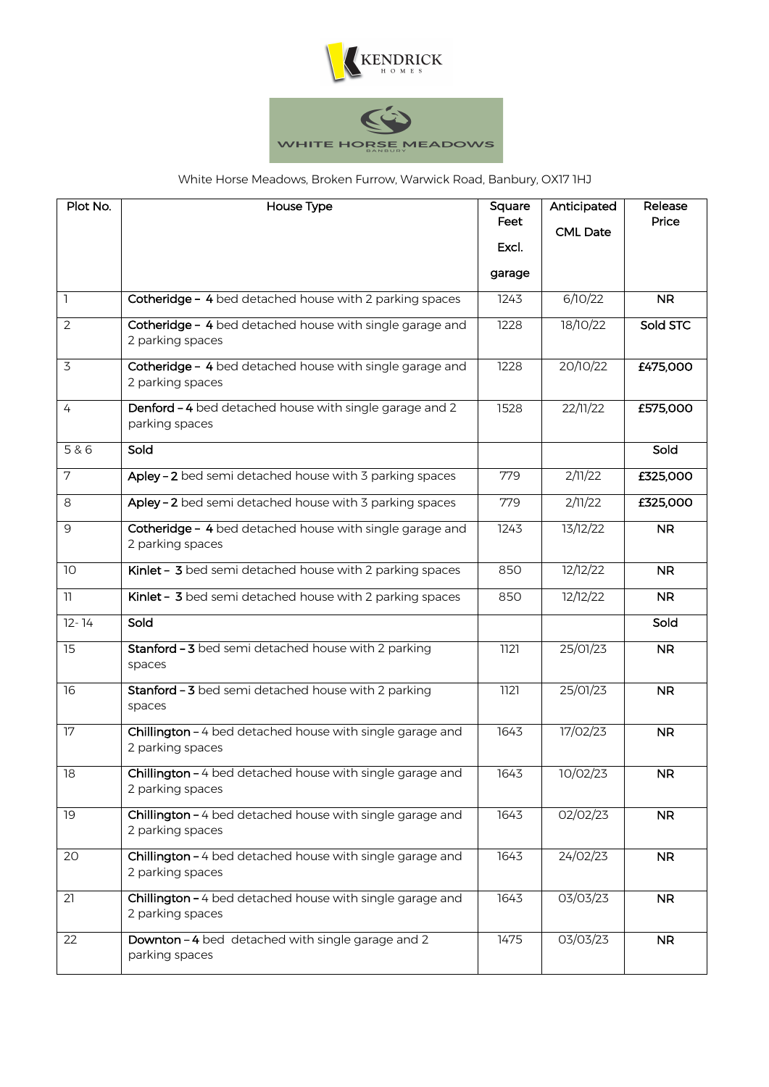



## White Horse Meadows, Broken Furrow, Warwick Road, Banbury, OX17 1HJ

| Plot No.        | House Type                                                                    | Square<br>Feet<br>Excl.<br>garage | Anticipated<br><b>CML Date</b> | Release<br>Price |
|-----------------|-------------------------------------------------------------------------------|-----------------------------------|--------------------------------|------------------|
| $\mathsf{L}$    | Cotheridge - 4 bed detached house with 2 parking spaces                       | 1243                              | 6/10/22                        | <b>NR</b>        |
| $\overline{2}$  | Cotheridge - 4 bed detached house with single garage and<br>2 parking spaces  | 1228                              | 18/10/22                       | Sold STC         |
| 3               | Cotheridge - 4 bed detached house with single garage and<br>2 parking spaces  | 1228                              | 20/10/22                       | £475,000         |
| $\overline{4}$  | Denford - 4 bed detached house with single garage and 2<br>parking spaces     | 1528                              | 22/11/22                       | £575,000         |
| 5 & 6           | Sold                                                                          |                                   |                                | Sold             |
| 7               | Apley - 2 bed semi detached house with 3 parking spaces                       | 779                               | 2/11/22                        | £325,000         |
| 8               | Apley - 2 bed semi detached house with 3 parking spaces                       | 779                               | 2/11/22                        | £325,000         |
| 9               | Cotheridge - 4 bed detached house with single garage and<br>2 parking spaces  | 1243                              | 13/12/22                       | <b>NR</b>        |
| 10 <sup>°</sup> | Kinlet - 3 bed semi detached house with 2 parking spaces                      | 850                               | 12/12/22                       | <b>NR</b>        |
| $\mathbb{I}$    | Kinlet - 3 bed semi detached house with 2 parking spaces                      | 850                               | 12/12/22                       | <b>NR</b>        |
| $12 - 14$       | Sold                                                                          |                                   |                                | Sold             |
| 15              | Stanford - 3 bed semi detached house with 2 parking<br>spaces                 | 1121                              | 25/01/23                       | <b>NR</b>        |
| 16              | Stanford - 3 bed semi detached house with 2 parking<br>spaces                 | 1121                              | 25/01/23                       | <b>NR</b>        |
| 17              | Chillington - 4 bed detached house with single garage and<br>2 parking spaces | 1643                              | 17/02/23                       | <b>NR</b>        |
| 18              | Chillington - 4 bed detached house with single garage and<br>2 parking spaces | 1643                              | 10/02/23                       | NR.              |
| 19              | Chillington - 4 bed detached house with single garage and<br>2 parking spaces | 1643                              | 02/02/23                       | <b>NR</b>        |
| 20              | Chillington - 4 bed detached house with single garage and<br>2 parking spaces | 1643                              | 24/02/23                       | NR               |
| 21              | Chillington - 4 bed detached house with single garage and<br>2 parking spaces | 1643                              | 03/03/23                       | <b>NR</b>        |
| 22              | Downton - 4 bed detached with single garage and 2<br>parking spaces           | 1475                              | 03/03/23                       | <b>NR</b>        |